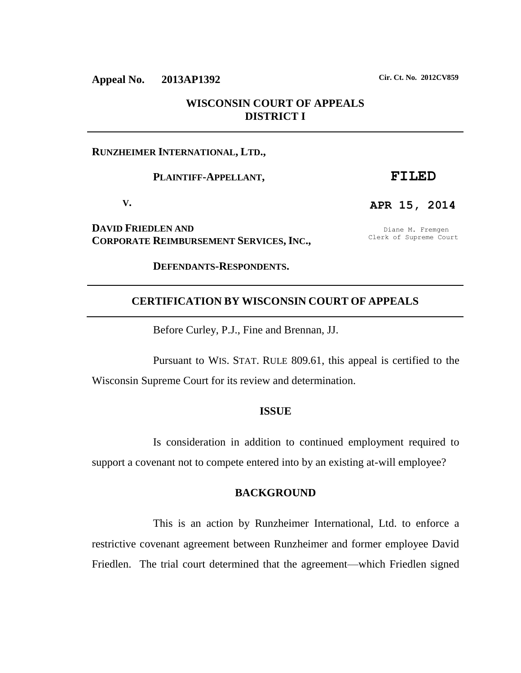# **Appeal No. 2013AP1392 Cir. Ct. No. 2012CV859**

## **WISCONSIN COURT OF APPEALS DISTRICT I**

### **RUNZHEIMER INTERNATIONAL, LTD.,**

#### **PLAINTIFF-APPELLANT,**

**V.**

**DAVID FRIEDLEN AND CORPORATE REIMBURSEMENT SERVICES, INC.,** 

Diane M. Fremgen Clerk of Supreme Court

**FILED**

**APR 15, 2014**

**DEFENDANTS-RESPONDENTS.** 

### **CERTIFICATION BY WISCONSIN COURT OF APPEALS**

Before Curley, P.J., Fine and Brennan, JJ.

Pursuant to WIS. STAT. RULE 809.61, this appeal is certified to the Wisconsin Supreme Court for its review and determination.

#### **ISSUE**

Is consideration in addition to continued employment required to support a covenant not to compete entered into by an existing at-will employee?

## **BACKGROUND**

This is an action by Runzheimer International, Ltd. to enforce a restrictive covenant agreement between Runzheimer and former employee David Friedlen. The trial court determined that the agreement—which Friedlen signed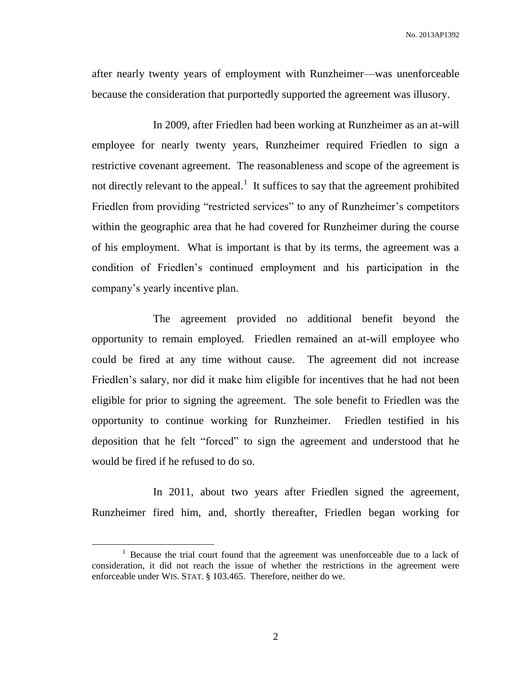after nearly twenty years of employment with Runzheimer—was unenforceable because the consideration that purportedly supported the agreement was illusory.

In 2009, after Friedlen had been working at Runzheimer as an at-will employee for nearly twenty years, Runzheimer required Friedlen to sign a restrictive covenant agreement. The reasonableness and scope of the agreement is not directly relevant to the appeal.<sup>1</sup> It suffices to say that the agreement prohibited Friedlen from providing "restricted services" to any of Runzheimer's competitors within the geographic area that he had covered for Runzheimer during the course of his employment. What is important is that by its terms, the agreement was a condition of Friedlen's continued employment and his participation in the company's yearly incentive plan.

The agreement provided no additional benefit beyond the opportunity to remain employed. Friedlen remained an at-will employee who could be fired at any time without cause. The agreement did not increase Friedlen's salary, nor did it make him eligible for incentives that he had not been eligible for prior to signing the agreement. The sole benefit to Friedlen was the opportunity to continue working for Runzheimer. Friedlen testified in his deposition that he felt "forced" to sign the agreement and understood that he would be fired if he refused to do so.

In 2011, about two years after Friedlen signed the agreement, Runzheimer fired him, and, shortly thereafter, Friedlen began working for

 $\overline{a}$ 

<sup>&</sup>lt;sup>1</sup> Because the trial court found that the agreement was unenforceable due to a lack of consideration, it did not reach the issue of whether the restrictions in the agreement were enforceable under WIS. STAT. § 103.465. Therefore, neither do we.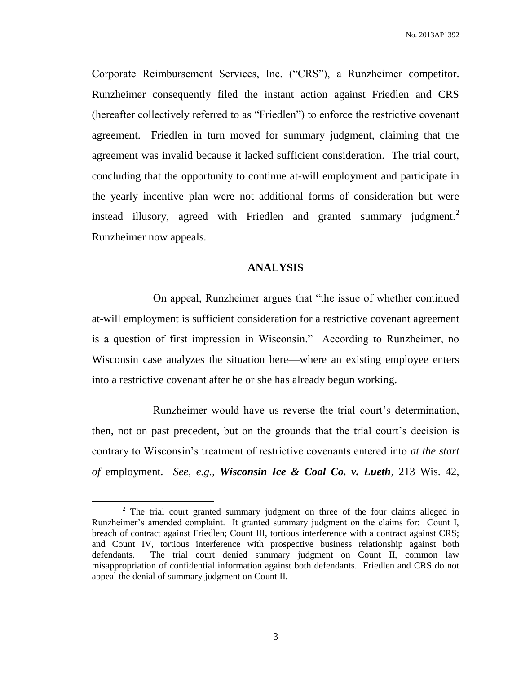Corporate Reimbursement Services, Inc. ("CRS"), a Runzheimer competitor. Runzheimer consequently filed the instant action against Friedlen and CRS (hereafter collectively referred to as "Friedlen") to enforce the restrictive covenant agreement. Friedlen in turn moved for summary judgment, claiming that the agreement was invalid because it lacked sufficient consideration. The trial court, concluding that the opportunity to continue at-will employment and participate in the yearly incentive plan were not additional forms of consideration but were instead illusory, agreed with Friedlen and granted summary judgment.<sup>2</sup> Runzheimer now appeals.

### **ANALYSIS**

On appeal, Runzheimer argues that "the issue of whether continued at-will employment is sufficient consideration for a restrictive covenant agreement is a question of first impression in Wisconsin." According to Runzheimer, no Wisconsin case analyzes the situation here—where an existing employee enters into a restrictive covenant after he or she has already begun working.

Runzheimer would have us reverse the trial court's determination, then, not on past precedent, but on the grounds that the trial court's decision is contrary to Wisconsin's treatment of restrictive covenants entered into *at the start of* employment. *See, e.g.*, *Wisconsin Ice & Coal Co. v. Lueth*, 213 Wis. 42,

 $\overline{a}$ 

<sup>&</sup>lt;sup>2</sup> The trial court granted summary judgment on three of the four claims alleged in Runzheimer's amended complaint. It granted summary judgment on the claims for: Count I, breach of contract against Friedlen; Count III, tortious interference with a contract against CRS; and Count IV, tortious interference with prospective business relationship against both defendants. The trial court denied summary judgment on Count II, common law misappropriation of confidential information against both defendants. Friedlen and CRS do not appeal the denial of summary judgment on Count II.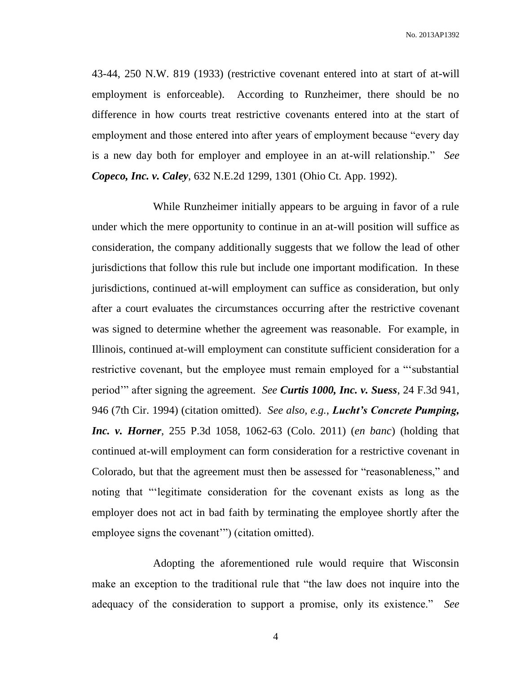No. 2013AP1392

43-44, 250 N.W. 819 (1933) (restrictive covenant entered into at start of at-will employment is enforceable). According to Runzheimer, there should be no difference in how courts treat restrictive covenants entered into at the start of employment and those entered into after years of employment because "every day is a new day both for employer and employee in an at-will relationship." *See Copeco, Inc. v. Caley*, 632 N.E.2d 1299, 1301 (Ohio Ct. App. 1992).

While Runzheimer initially appears to be arguing in favor of a rule under which the mere opportunity to continue in an at-will position will suffice as consideration, the company additionally suggests that we follow the lead of other jurisdictions that follow this rule but include one important modification. In these jurisdictions, continued at-will employment can suffice as consideration, but only after a court evaluates the circumstances occurring after the restrictive covenant was signed to determine whether the agreement was reasonable. For example, in Illinois, continued at-will employment can constitute sufficient consideration for a restrictive covenant, but the employee must remain employed for a "'substantial period'" after signing the agreement. *See Curtis 1000, Inc. v. Suess*, 24 F.3d 941, 946 (7th Cir. 1994) (citation omitted). *See also, e.g.*, *Lucht's Concrete Pumping, Inc. v. Horner*, 255 P.3d 1058, 1062-63 (Colo. 2011) (*en banc*) (holding that continued at-will employment can form consideration for a restrictive covenant in Colorado, but that the agreement must then be assessed for "reasonableness," and noting that "'legitimate consideration for the covenant exists as long as the employer does not act in bad faith by terminating the employee shortly after the employee signs the covenant'") (citation omitted).

Adopting the aforementioned rule would require that Wisconsin make an exception to the traditional rule that "the law does not inquire into the adequacy of the consideration to support a promise, only its existence." *See*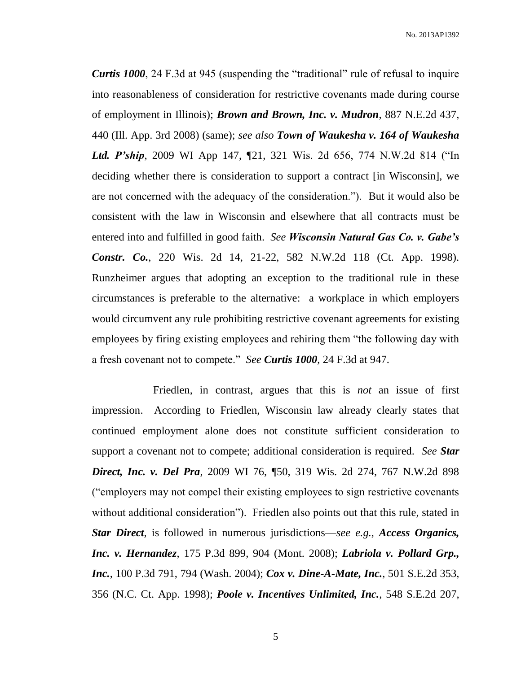No. 2013AP1392

*Curtis 1000*, 24 F.3d at 945 (suspending the "traditional" rule of refusal to inquire into reasonableness of consideration for restrictive covenants made during course of employment in Illinois); *Brown and Brown, Inc. v. Mudron*, 887 N.E.2d 437, 440 (Ill. App. 3rd 2008) (same); *see also Town of Waukesha v. 164 of Waukesha Ltd. P'ship*, 2009 WI App 147, ¶21, 321 Wis. 2d 656, 774 N.W.2d 814 ("In deciding whether there is consideration to support a contract [in Wisconsin], we are not concerned with the adequacy of the consideration."). But it would also be consistent with the law in Wisconsin and elsewhere that all contracts must be entered into and fulfilled in good faith. *See Wisconsin Natural Gas Co. v. Gabe's Constr. Co.*, 220 Wis. 2d 14, 21-22, 582 N.W.2d 118 (Ct. App. 1998). Runzheimer argues that adopting an exception to the traditional rule in these circumstances is preferable to the alternative: a workplace in which employers would circumvent any rule prohibiting restrictive covenant agreements for existing employees by firing existing employees and rehiring them "the following day with a fresh covenant not to compete." *See Curtis 1000*, 24 F.3d at 947.

Friedlen, in contrast, argues that this is *not* an issue of first impression. According to Friedlen, Wisconsin law already clearly states that continued employment alone does not constitute sufficient consideration to support a covenant not to compete; additional consideration is required. *See Star Direct, Inc. v. Del Pra*, 2009 WI 76, ¶50, 319 Wis. 2d 274, 767 N.W.2d 898 ("employers may not compel their existing employees to sign restrictive covenants without additional consideration"). Friedlen also points out that this rule, stated in *Star Direct*, is followed in numerous jurisdictions—*see e.g.*, *Access Organics, Inc. v. Hernandez*, 175 P.3d 899, 904 (Mont. 2008); *Labriola v. Pollard Grp., Inc.*, 100 P.3d 791, 794 (Wash. 2004); *Cox v. Dine-A-Mate, Inc.*, 501 S.E.2d 353, 356 (N.C. Ct. App. 1998); *Poole v. Incentives Unlimited, Inc.*, 548 S.E.2d 207,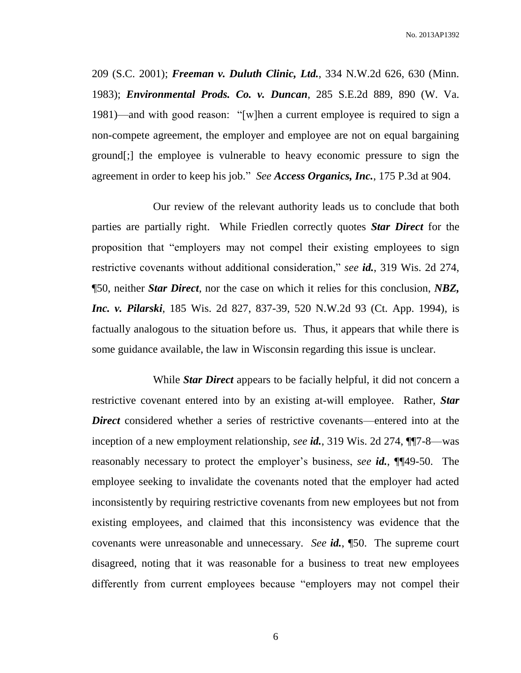209 (S.C. 2001); *Freeman v. Duluth Clinic, Ltd.*, 334 N.W.2d 626, 630 (Minn. 1983); *Environmental Prods. Co. v. Duncan*, 285 S.E.2d 889, 890 (W. Va. 1981)—and with good reason: "[w]hen a current employee is required to sign a non-compete agreement, the employer and employee are not on equal bargaining ground[;] the employee is vulnerable to heavy economic pressure to sign the agreement in order to keep his job." *See Access Organics, Inc.*, 175 P.3d at 904.

Our review of the relevant authority leads us to conclude that both parties are partially right. While Friedlen correctly quotes *Star Direct* for the proposition that "employers may not compel their existing employees to sign restrictive covenants without additional consideration," *see id.*, 319 Wis. 2d 274, ¶50, neither *Star Direct*, nor the case on which it relies for this conclusion, *NBZ, Inc. v. Pilarski*, 185 Wis. 2d 827, 837-39, 520 N.W.2d 93 (Ct. App. 1994), is factually analogous to the situation before us. Thus, it appears that while there is some guidance available, the law in Wisconsin regarding this issue is unclear.

While *Star Direct* appears to be facially helpful, it did not concern a restrictive covenant entered into by an existing at-will employee. Rather, *Star Direct* considered whether a series of restrictive covenants—entered into at the inception of a new employment relationship, *see id.*, 319 Wis. 2d 274, ¶¶7-8—was reasonably necessary to protect the employer's business, *see id.*, ¶¶49-50. The employee seeking to invalidate the covenants noted that the employer had acted inconsistently by requiring restrictive covenants from new employees but not from existing employees, and claimed that this inconsistency was evidence that the covenants were unreasonable and unnecessary. *See id.*, ¶50. The supreme court disagreed, noting that it was reasonable for a business to treat new employees differently from current employees because "employers may not compel their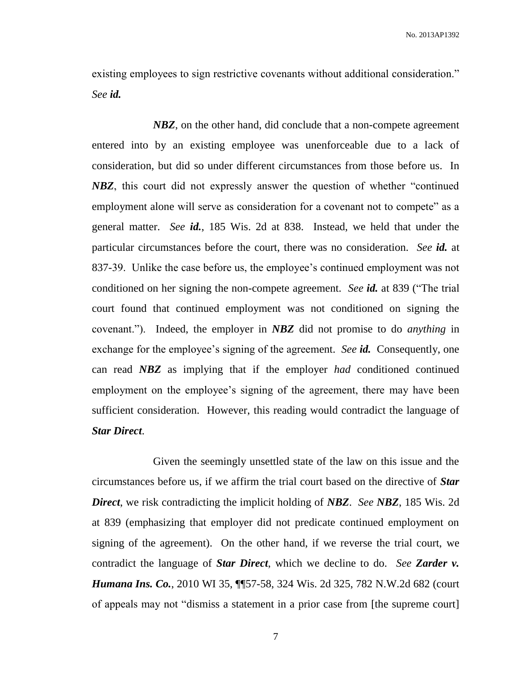existing employees to sign restrictive covenants without additional consideration." *See id.*

*NBZ*, on the other hand, did conclude that a non-compete agreement entered into by an existing employee was unenforceable due to a lack of consideration, but did so under different circumstances from those before us. In *NBZ*, this court did not expressly answer the question of whether "continued employment alone will serve as consideration for a covenant not to compete" as a general matter. *See id.*, 185 Wis. 2d at 838. Instead, we held that under the particular circumstances before the court, there was no consideration. *See id.* at 837-39. Unlike the case before us, the employee's continued employment was not conditioned on her signing the non-compete agreement. *See id.* at 839 ("The trial court found that continued employment was not conditioned on signing the covenant."). Indeed, the employer in *NBZ* did not promise to do *anything* in exchange for the employee's signing of the agreement. *See id.* Consequently, one can read *NBZ* as implying that if the employer *had* conditioned continued employment on the employee's signing of the agreement, there may have been sufficient consideration. However, this reading would contradict the language of *Star Direct*.

Given the seemingly unsettled state of the law on this issue and the circumstances before us, if we affirm the trial court based on the directive of *Star Direct*, we risk contradicting the implicit holding of *NBZ*. *See NBZ*, 185 Wis. 2d at 839 (emphasizing that employer did not predicate continued employment on signing of the agreement). On the other hand, if we reverse the trial court, we contradict the language of *Star Direct*, which we decline to do. *See Zarder v. Humana Ins. Co.*, 2010 WI 35, 1157-58, 324 Wis. 2d 325, 782 N.W.2d 682 (court of appeals may not "dismiss a statement in a prior case from [the supreme court]